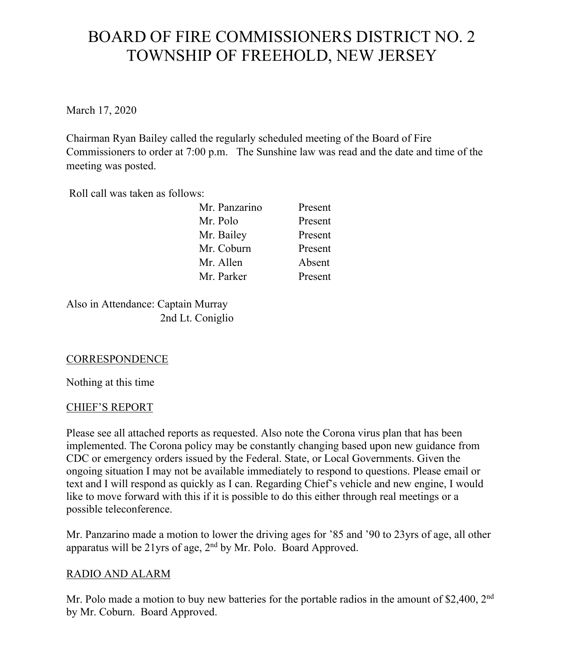# BOARD OF FIRE COMMISSIONERS DISTRICT NO. 2 TOWNSHIP OF FREEHOLD, NEW JERSEY

March 17, 2020

Chairman Ryan Bailey called the regularly scheduled meeting of the Board of Fire Commissioners to order at 7:00 p.m. The Sunshine law was read and the date and time of the meeting was posted.

Roll call was taken as follows:

| Mr. Panzarino | Present |
|---------------|---------|
| Mr. Polo      | Present |
| Mr. Bailey    | Present |
| Mr. Coburn    | Present |
| Mr. Allen     | Absent  |
| Mr. Parker    | Present |
|               |         |

Also in Attendance: Captain Murray 2nd Lt. Coniglio

# **CORRESPONDENCE**

Nothing at this time

# CHIEF'S REPORT

Please see all attached reports as requested. Also note the Corona virus plan that has been implemented. The Corona policy may be constantly changing based upon new guidance from CDC or emergency orders issued by the Federal. State, or Local Governments. Given the ongoing situation I may not be available immediately to respond to questions. Please email or text and I will respond as quickly as I can. Regarding Chief's vehicle and new engine, I would like to move forward with this if it is possible to do this either through real meetings or a possible teleconference.

Mr. Panzarino made a motion to lower the driving ages for '85 and '90 to 23yrs of age, all other apparatus will be 21yrs of age,  $2<sup>nd</sup>$  by Mr. Polo. Board Approved.

# RADIO AND ALARM

Mr. Polo made a motion to buy new batteries for the portable radios in the amount of \$2,400,  $2<sup>nd</sup>$ by Mr. Coburn. Board Approved.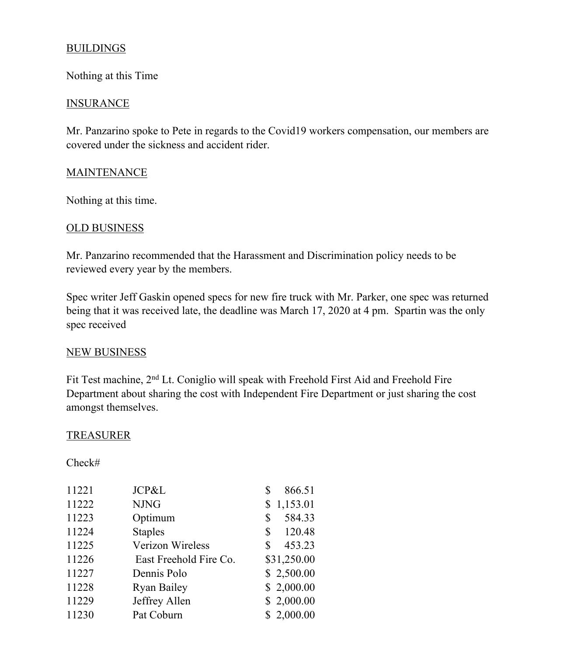## **BUILDINGS**

Nothing at this Time

#### INSURANCE

Mr. Panzarino spoke to Pete in regards to the Covid19 workers compensation, our members are covered under the sickness and accident rider.

## **MAINTENANCE**

Nothing at this time.

## OLD BUSINESS

Mr. Panzarino recommended that the Harassment and Discrimination policy needs to be reviewed every year by the members.

Spec writer Jeff Gaskin opened specs for new fire truck with Mr. Parker, one spec was returned being that it was received late, the deadline was March 17, 2020 at 4 pm. Spartin was the only spec received

## NEW BUSINESS

Fit Test machine, 2<sup>nd</sup> Lt. Coniglio will speak with Freehold First Aid and Freehold Fire Department about sharing the cost with Independent Fire Department or just sharing the cost amongst themselves.

## **TREASURER**

Check#

| 11221 | JCP&L                  | 866.51<br>\$ |
|-------|------------------------|--------------|
| 11222 | <b>NJNG</b>            | \$1,153.01   |
| 11223 | Optimum                | 584.33<br>\$ |
| 11224 | <b>Staples</b>         | 120.48<br>\$ |
| 11225 | Verizon Wireless       | 453.23<br>S  |
| 11226 | East Freehold Fire Co. | \$31,250.00  |
| 11227 | Dennis Polo            | \$2,500.00   |
| 11228 | <b>Ryan Bailey</b>     | \$2,000.00   |
| 11229 | Jeffrey Allen          | \$2,000.00   |
| 11230 | Pat Coburn             | \$2,000.00   |